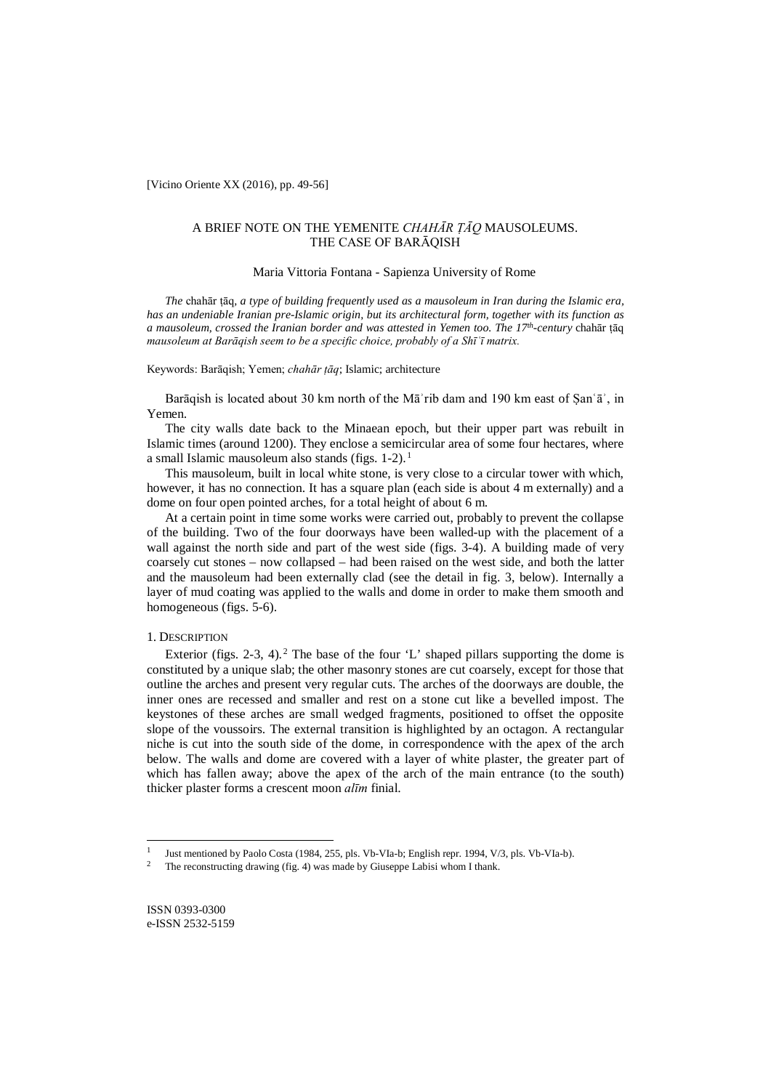[Vicino Oriente XX (2016), pp. 49-56]

# A BRIEF NOTE ON THE YEMENITE *CHAHĀR ṬĀQ* MAUSOLEUMS. THE CASE OF BARĀQISH

## Maria Vittoria Fontana - Sapienza University of Rome

*The* chahār ṭāq*, a type of building frequently used as a mausoleum in Iran during the Islamic era, has an undeniable Iranian pre-Islamic origin, but its architectural form, together with its function as a mausoleum, crossed the Iranian border and was attested in Yemen too. The 17th-century* chahār ṭāq *mausoleum at Barāqish seem to be a specific choice, probably of a Shīʿī matrix.*

#### Keywords: Barāqish; Yemen; *chahār ṭāq*; Islamic; architecture

Barāqish is located about 30 km north of the Mā'rib dam and 190 km east of Şan'ā', in Yemen.

The city walls date back to the Minaean epoch, but their upper part was rebuilt in Islamic times (around 1200). They enclose a semicircular area of some four hectares, where a small Islamic mausoleum also stands (figs. 1-2). <sup>1</sup>

This mausoleum, built in local white stone, is very close to a circular tower with which, however, it has no connection. It has a square plan (each side is about 4 m externally) and a dome on four open pointed arches, for a total height of about 6 m.

At a certain point in time some works were carried out, probably to prevent the collapse of the building. Two of the four doorways have been walled-up with the placement of a wall against the north side and part of the west side (figs. 3-4). A building made of very coarsely cut stones – now collapsed – had been raised on the west side, and both the latter and the mausoleum had been externally clad (see the detail in fig. 3, below). Internally a layer of mud coating was applied to the walls and dome in order to make them smooth and homogeneous (figs. 5-6).

## 1. DESCRIPTION

Exterior (figs. 2-3, 4).<sup>2</sup> The base of the four 'L' shaped pillars supporting the dome is constituted by a unique slab; the other masonry stones are cut coarsely, except for those that outline the arches and present very regular cuts. The arches of the doorways are double, the inner ones are recessed and smaller and rest on a stone cut like a bevelled impost. The keystones of these arches are small wedged fragments, positioned to offset the opposite slope of the voussoirs. The external transition is highlighted by an octagon. A rectangular niche is cut into the south side of the dome, in correspondence with the apex of the arch below. The walls and dome are covered with a layer of white plaster, the greater part of which has fallen away; above the apex of the arch of the main entrance (to the south) thicker plaster forms a crescent moon *alīm* finial.

 $\overline{a}$ 

Just mentioned by Paolo Costa (1984, 255, pls. Vb-VIa-b; English repr. 1994, V/3, pls. Vb-VIa-b).

The reconstructing drawing (fig. 4) was made by Giuseppe Labisi whom I thank.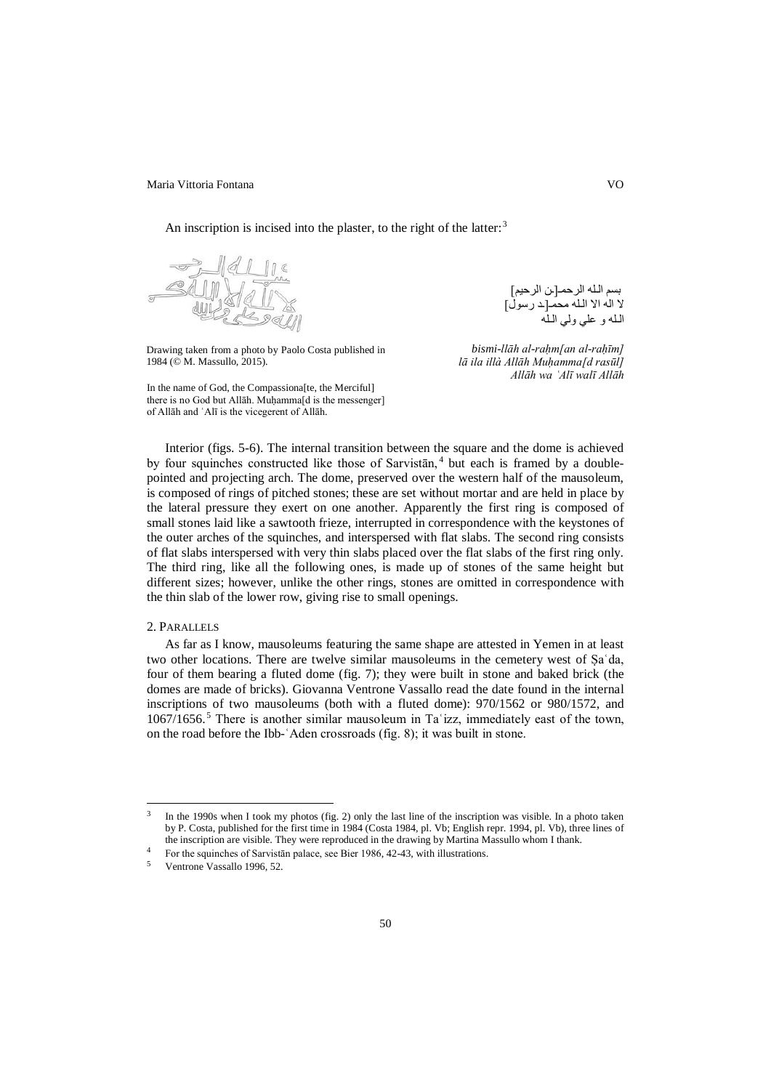Maria Vittoria Fontana versionali che il suoi sensato vittoria vittoria e vittoria vittoria e vittoria e vitto

An inscription is incised into the plaster, to the right of the latter:  $3$ 



Drawing taken from a photo by Paolo Costa published in 1984 (© M. Massullo, 2015).

In the name of God, the Compassiona[te, the Merciful] there is no God but Allāh. Muḥamma[d is the messenger] of Allāh and ʿAlī is the vicegerent of Allāh.

بسم الـلھ الرحمـ[ـن الرحیم] لا الھ الا الـلھ محمـ[ـد رسول] الـلھ و علي ولي الـلھ

*bismi-llāh al-raḥm[an al-raḥīm] lā ila illà Allāh Muḥamma[d rasūl] Allāh wa ʿAlī walī Allāh*

Interior (figs. 5-6). The internal transition between the square and the dome is achieved by four squinches constructed like those of Sarvistan,<sup>4</sup> but each is framed by a doublepointed and projecting arch. The dome, preserved over the western half of the mausoleum, is composed of rings of pitched stones; these are set without mortar and are held in place by the lateral pressure they exert on one another. Apparently the first ring is composed of small stones laid like a sawtooth frieze, interrupted in correspondence with the keystones of the outer arches of the squinches, and interspersed with flat slabs. The second ring consists of flat slabs interspersed with very thin slabs placed over the flat slabs of the first ring only. The third ring, like all the following ones, is made up of stones of the same height but different sizes; however, unlike the other rings, stones are omitted in correspondence with the thin slab of the lower row, giving rise to small openings.

#### 2. PARALLELS

 $\overline{a}$ 

As far as I know, mausoleums featuring the same shape are attested in Yemen in at least two other locations. There are twelve similar mausoleums in the cemetery west of Ṣaʿda, four of them bearing a fluted dome (fig. 7); they were built in stone and baked brick (the domes are made of bricks). Giovanna Ventrone Vassallo read the date found in the internal inscriptions of two mausoleums (both with a fluted dome): 970/1562 or 980/1572, and  $1067/1656$ .<sup>5</sup> There is another similar mausoleum in Ta  $'$ izz, immediately east of the town, on the road before the Ibb-ʿAden crossroads (fig. 8); it was built in stone.

 $3$  In the 1990s when I took my photos (fig. 2) only the last line of the inscription was visible. In a photo taken by P. Costa, published for the first time in 1984 (Costa 1984, pl. Vb; English repr. 1994, pl. Vb), three lines of the inscription are visible. They were reproduced in the drawing by Martina Massullo whom I thank.

<sup>4</sup> For the squinches of Sarvistān palace, see Bier 1986, 42-43, with illustrations.

Ventrone Vassallo 1996, 52.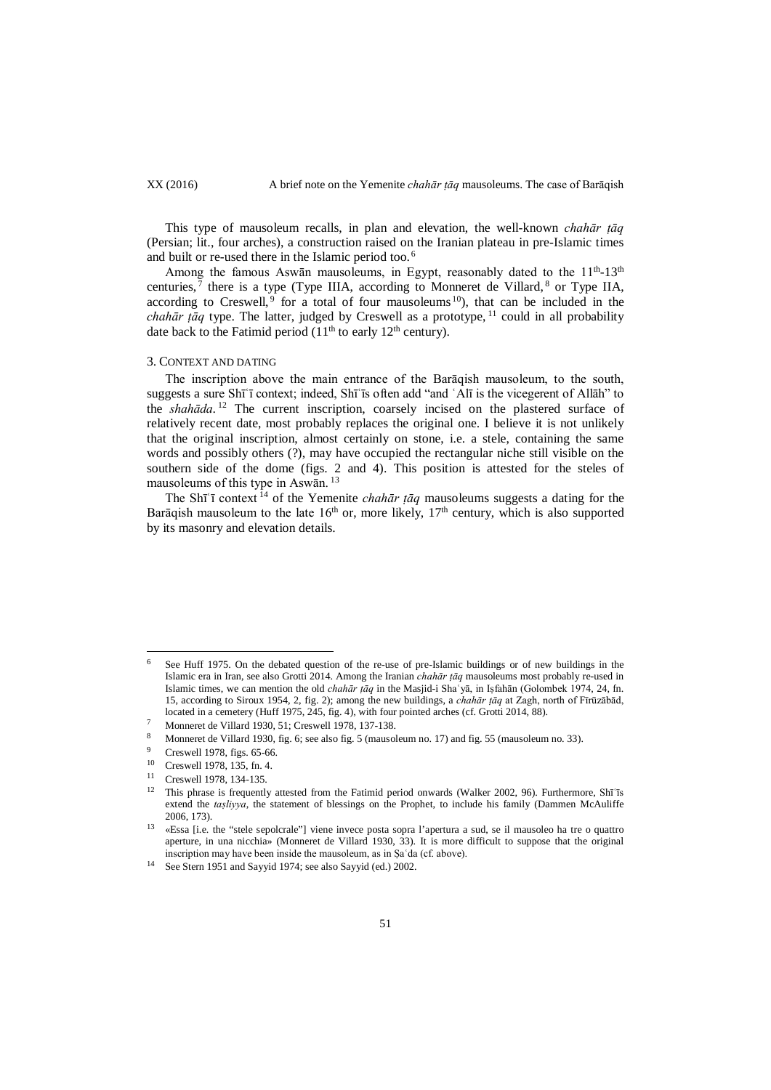This type of mausoleum recalls, in plan and elevation, the well-known *chahār ṭāq* (Persian; lit., four arches), a construction raised on the Iranian plateau in pre-Islamic times and built or re-used there in the Islamic period too. <sup>6</sup>

Among the famous Aswān mausoleums, in Egypt, reasonably dated to the 11<sup>th</sup>-13<sup>th</sup> centuries,  $^7$  there is a type (Type IIIA, according to Monneret de Villard,  $^8$  or Type IIA, according to Creswell,  $9$  for a total of four mausoleums  $10$ ), that can be included in the *chahār țāq* type. The latter, judged by Creswell as a prototype,  $11$  could in all probability date back to the Fatimid period  $(11<sup>th</sup>$  to early  $12<sup>th</sup>$  century).

### 3. CONTEXT AND DATING

The inscription above the main entrance of the Barāqish mausoleum, to the south, suggests a sure Shīʿī context; indeed, Shīʿīs often add "and ʿAlī is the vicegerent of Allāh" to the *shahāda*. <sup>12</sup> The current inscription, coarsely incised on the plastered surface of relatively recent date, most probably replaces the original one. I believe it is not unlikely that the original inscription, almost certainly on stone, i.e. a stele, containing the same words and possibly others (?), may have occupied the rectangular niche still visible on the southern side of the dome (figs. 2 and 4). This position is attested for the steles of mausoleums of this type in Aswān. <sup>13</sup>

The Shī<sup>'</sup>i context<sup>14</sup> of the Yemenite *chahār tāq* mausoleums suggests a dating for the Barāqish mausoleum to the late  $16<sup>th</sup>$  or, more likely,  $17<sup>th</sup>$  century, which is also supported by its masonry and elevation details.

 $\overline{a}$ 

<sup>6</sup> See Huff 1975. On the debated question of the re-use of pre-Islamic buildings or of new buildings in the Islamic era in Iran, see also Grotti 2014. Among the Iranian *chahār ṭāq* mausoleums most probably re-used in Islamic times, we can mention the old *chahār ṭāq* in the Masjid-i Shaʿyā, in Iṣfahān (Golombek 1974, 24, fn. 15, according to Siroux 1954, 2, fig. 2); among the new buildings, a *chahār ṭāq* at Zagh, north of Fīrūzābād, located in a cemetery (Huff 1975, 245, fig. 4), with four pointed arches (cf. Grotti 2014, 88).

<sup>7</sup> Monneret de Villard 1930, 51; Creswell 1978, 137-138.

<sup>8</sup> Monneret de Villard 1930, fig. 6; see also fig. 5 (mausoleum no. 17) and fig. 55 (mausoleum no. 33).

<sup>&</sup>lt;sup>9</sup> Creswell 1978, figs. 65-66.<br><sup>10</sup> Creswell 1978, 125, fo. 4

Creswell 1978, 135, fn. 4.

<sup>11</sup> Creswell 1978, 134-135.

<sup>&</sup>lt;sup>12</sup> This phrase is frequently attested from the Fatimid period onwards (Walker 2002, 96). Furthermore, Shī<sup>'</sup>īs extend the *taṣliyya*, the statement of blessings on the Prophet, to include his family (Dammen McAuliffe 2006, 173).

<sup>13</sup> «Essa [i.e. the "stele sepolcrale"] viene invece posta sopra l'apertura a sud, se il mausoleo ha tre o quattro aperture, in una nicchia» (Monneret de Villard 1930, 33). It is more difficult to suppose that the original inscription may have been inside the mausoleum, as in Ṣaʿda (cf. above).

<sup>14</sup> See Stern 1951 and Sayyid 1974; see also Sayyid (ed.) 2002.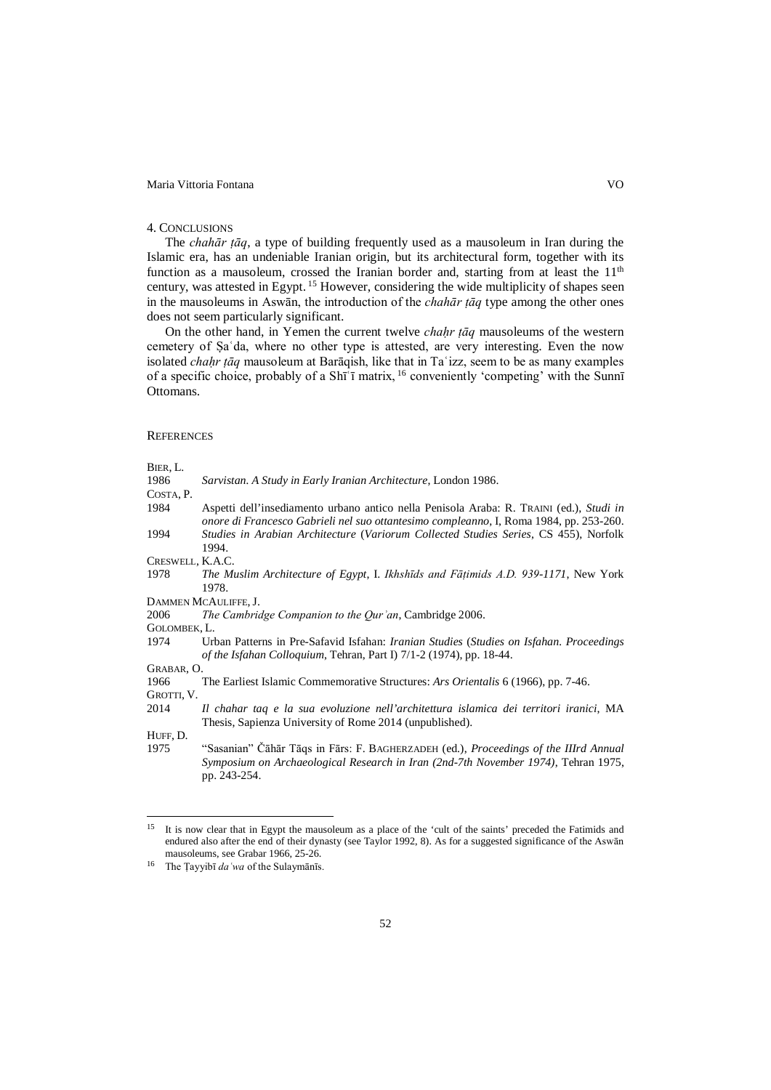## Maria Vittoria Fontana VO

#### 4. CONCLUSIONS

The *chahār ṭāq*, a type of building frequently used as a mausoleum in Iran during the Islamic era, has an undeniable Iranian origin, but its architectural form, together with its function as a mausoleum, crossed the Iranian border and, starting from at least the  $11<sup>th</sup>$ century, was attested in Egypt. <sup>15</sup> However, considering the wide multiplicity of shapes seen in the mausoleums in Aswān, the introduction of the *chahār ṭāq* type among the other ones does not seem particularly significant.

On the other hand, in Yemen the current twelve *chaḥr ṭāq* mausoleums of the western cemetery of Ṣaʿda, where no other type is attested, are very interesting. Even the now isolated *chaḥr ṭāq* mausoleum at Barāqish, like that in Taʿizz, seem to be as many examples of a specific choice, probably of a Shīʿī matrix, <sup>16</sup> conveniently 'competing' with the Sunnī Ottomans.

#### **REFERENCES**

BIER, L.

| DIEK, L.         |                                                                                                                                                                                   |
|------------------|-----------------------------------------------------------------------------------------------------------------------------------------------------------------------------------|
| 1986             | Sarvistan. A Study in Early Iranian Architecture, London 1986.                                                                                                                    |
| Costa, P.        |                                                                                                                                                                                   |
| 1984             | Aspetti dell'insediamento urbano antico nella Penisola Araba: R. TRAINI (ed.), Studi in<br>onore di Francesco Gabrieli nel suo ottantesimo compleanno, I, Roma 1984, pp. 253-260. |
| 1994             | Studies in Arabian Architecture (Variorum Collected Studies Series, CS 455), Norfolk<br>1994.                                                                                     |
| CRESWELL, K.A.C. |                                                                                                                                                                                   |
| 1978             | The Muslim Architecture of Egypt, I. Ikhshīds and Fāțimids A.D. 939-1171, New York<br>1978.                                                                                       |
|                  | DAMMEN MCAULIFFE, J.                                                                                                                                                              |
| 2006             | The Cambridge Companion to the Qur'an, Cambridge 2006.                                                                                                                            |
| GOLOMBEK, L.     |                                                                                                                                                                                   |
| 1974             | Urban Patterns in Pre-Safavid Isfahan: <i>Iranian Studies (Studies on Isfahan. Proceedings</i><br>of the Isfahan Colloquium, Tehran, Part I) 7/1-2 (1974), pp. 18-44.             |
| Grabar, O.       |                                                                                                                                                                                   |
| 1966             | The Earliest Islamic Commemorative Structures: Ars Orientalis 6 (1966), pp. 7-46.                                                                                                 |
| Grotti, V.       |                                                                                                                                                                                   |
| 2014             | Il chahar taq e la sua evoluzione nell'architettura islamica dei territori iranici, MA                                                                                            |
|                  | Thesis, Sapienza University of Rome 2014 (unpublished).                                                                                                                           |
| Huff, D.         |                                                                                                                                                                                   |
| 1975             | "Sasanian" Čāhār Tāqs in Fārs: F. BAGHERZADEH (ed.), Proceedings of the IIIrd Annual<br>Symposium on Archaeological Research in Iran (2nd-7th November 1974), Tehran 1975,        |

<sup>15</sup> It is now clear that in Egypt the mausoleum as a place of the 'cult of the saints' preceded the Fatimids and endured also after the end of their dynasty (see Taylor 1992, 8). As for a suggested significance of the Aswān mausoleums, see Grabar 1966, 25-26. 15

pp. 243-254.

<sup>16</sup> The Ṭayyibī *daʿwa* of the Sulaymānīs.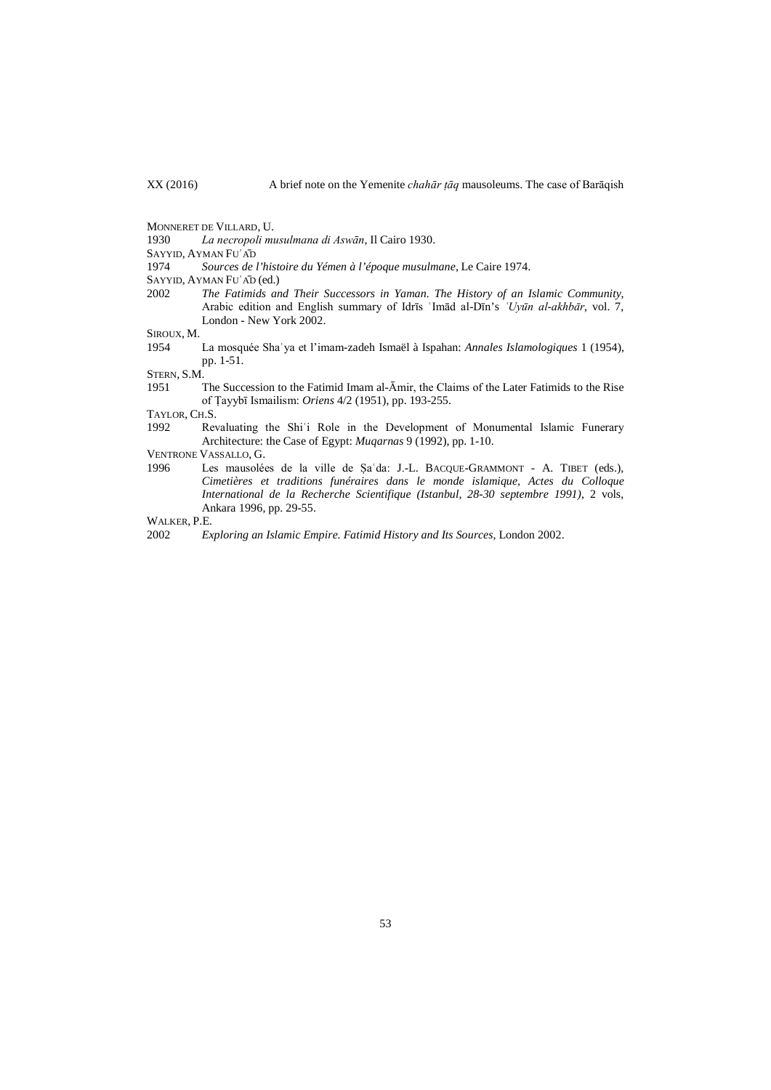MONNERET DE VILLARD, U.

1930 *La necropoli musulmana di Aswān*, Il Cairo 1930.

SAYYID, AYMAN FUʾĀD

1974 *Sources de l'histoire du Yémen à l'époque musulmane*, Le Caire 1974.

- SAYYID, AYMAN FUʾĀD (ed.)
- 2002 *The Fatimids and Their Successors in Yaman. The History of an Islamic Community*, Arabic edition and English summary of Idrīs 'Imād al-Dīn's 'Uyūn al-akhbār, vol. 7, London - New York 2002.

SIROUX, M.

1954 La mosquée Shaʿya et l'imam-zadeh Ismaël à Ispahan: *Annales Islamologiques* 1 (1954), pp. 1-51.

STERN, S.M.<br>1951

The Succession to the Fatimid Imam al-Āmir, the Claims of the Later Fatimids to the Rise of Ṭayybī Ismailism: *Oriens* 4/2 (1951), pp. 193-255.

TAYLOR, CH.S.

1992 Revaluating the Shi'i Role in the Development of Monumental Islamic Funerary Architecture: the Case of Egypt: *Muqarnas* 9 (1992), pp. 1-10.

- VENTRONE VASSALLO, G.
- 1996 Les mausolées de la ville de Ṣaʿda: J.-L. BACQUE-GRAMMONT A. TIBET (eds.), *Cimetières et traditions funéraires dans le monde islamique, Actes du Colloque International de la Recherche Scientifique (Istanbul, 28-30 septembre 1991)*, 2 vols, Ankara 1996, pp. 29-55.

WALKER, P.E.

2002 *Exploring an Islamic Empire. Fatimid History and Its Sources*, London 2002.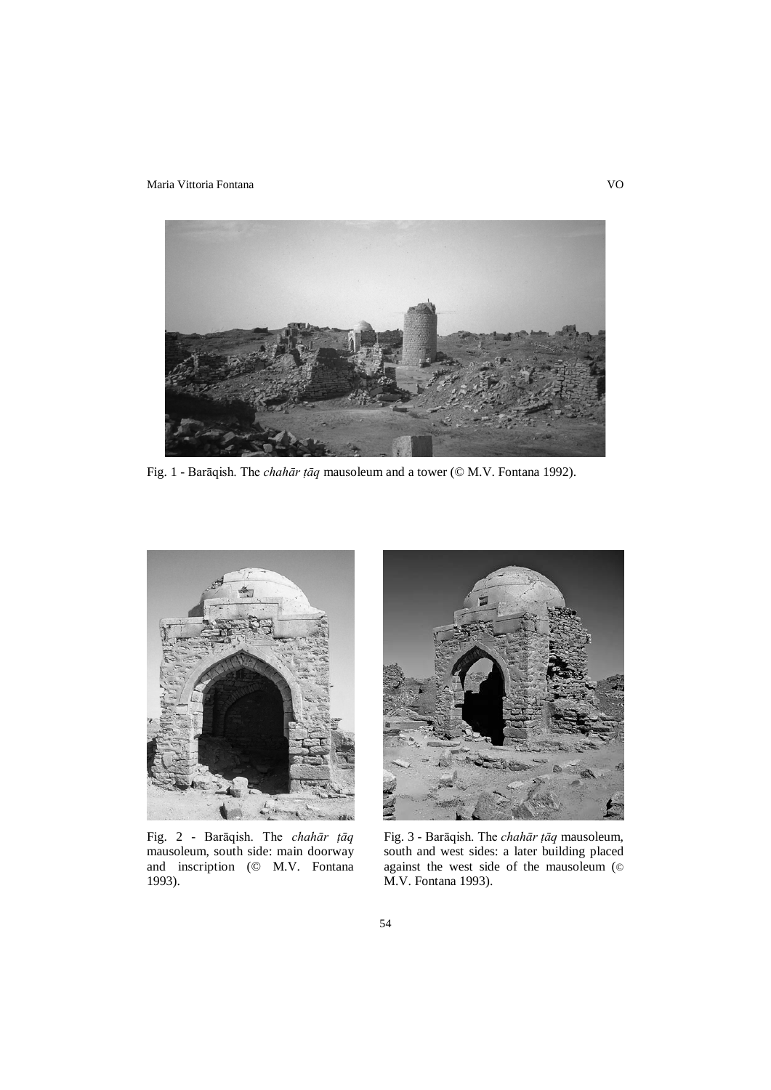Maria Vittoria Fontana VO



Fig. 1 - Barāqish. The *chahār ṭāq* mausoleum and a tower (© M.V. Fontana 1992).



Fig. 2 - Barāqish. The *chahār ṭāq* mausoleum, south side: main doorway and inscription (© M.V. Fontana 1993).



Fig. 3 - Barāqish. The *chahār ṭāq* mausoleum, south and west sides: a later building placed against the west side of the mausoleum (© M.V. Fontana 1993).

54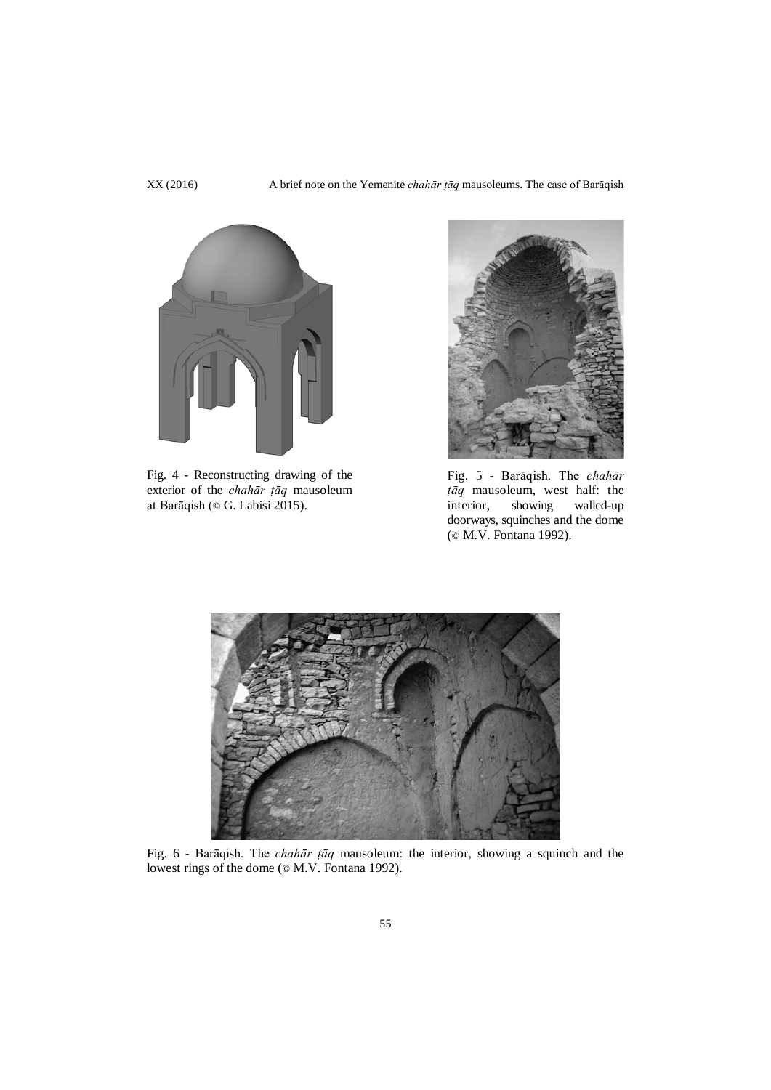XX (2016) A brief note on the Yemenite *chahār ṭāq* mausoleums. The case of Barāqish



Fig. 4 - Reconstructing drawing of the exterior of the *chahār ṭāq* mausoleum at Barāqish (© G. Labisi 2015).



Fig. 5 - Barāqish. The *chahār ṭāq* mausoleum, west half: the interior, showing walled-up doorways, squinches and the dome (© M.V. Fontana 1992).



Fig. 6 - Barāqish. The *chahār ṭāq* mausoleum: the interior, showing a squinch and the lowest rings of the dome ( $\oslash$  M.V. Fontana 1992).